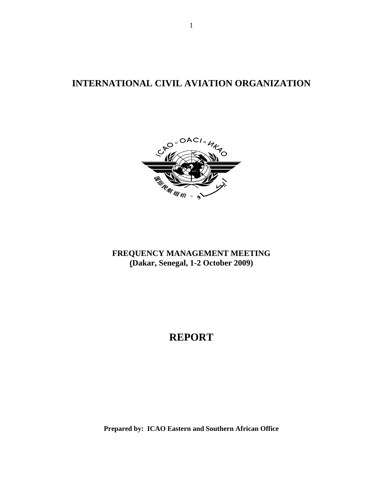**INTERNATIONAL CIVIL AVIATION ORGANIZATION** 



**FREQUENCY MANAGEMENT MEETING (Dakar, Senegal, 1-2 October 2009)** 

# **REPORT**

**Prepared by: ICAO Eastern and Southern African Office**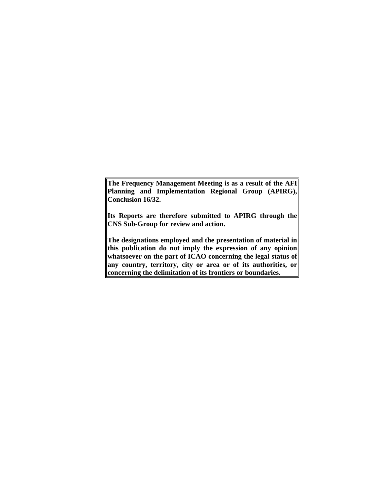**The Frequency Management Meeting is as a result of the AFI Planning and Implementation Regional Group (APIRG), Conclusion 16/32.** 

**Its Reports are therefore submitted to APIRG through the CNS Sub-Group for review and action.** 

**The designations employed and the presentation of material in this publication do not imply the expression of any opinion whatsoever on the part of ICAO concerning the legal status of any country, territory, city or area or of its authorities, or concerning the delimitation of its frontiers or boundaries.**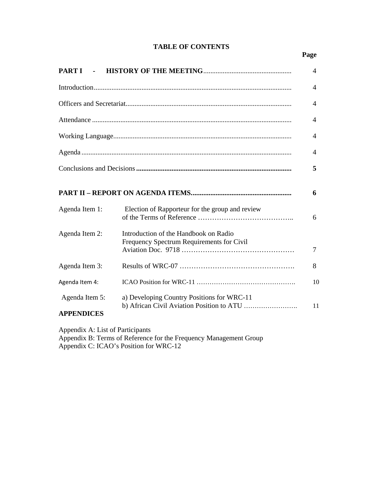## **TABLE OF CONTENTS**

### **Page**

| <b>PARTI</b>                        |                                                                                    | $\overline{4}$ |
|-------------------------------------|------------------------------------------------------------------------------------|----------------|
|                                     |                                                                                    | 4              |
|                                     |                                                                                    | 4              |
|                                     |                                                                                    | 4              |
|                                     |                                                                                    | 4              |
|                                     |                                                                                    | 4              |
|                                     |                                                                                    | 5              |
|                                     |                                                                                    | 6              |
| Agenda Item 1:                      | Election of Rapporteur for the group and review                                    | 6              |
| Agenda Item 2:                      | Introduction of the Handbook on Radio<br>Frequency Spectrum Requirements for Civil | 7              |
| Agenda Item 3:                      |                                                                                    | 8              |
| Agenda Item 4:                      |                                                                                    | 10             |
| Agenda Item 5:<br><b>APPENDICES</b> | a) Developing Country Positions for WRC-11                                         | 11             |

Appendix A: List of Participants Appendix B: Terms of Reference for the Frequency Management Group Appendix C: ICAO's Position for WRC-12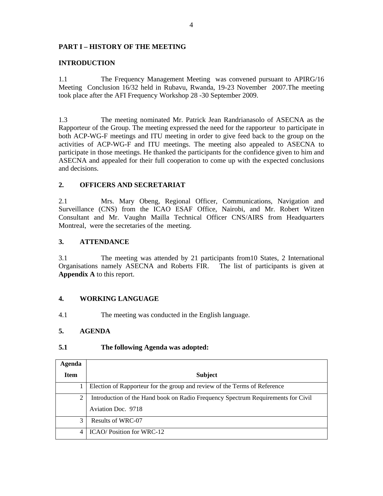### **PART I – HISTORY OF THE MEETING**

### **INTRODUCTION**

1.1 The Frequency Management Meeting was convened pursuant to APIRG/16 Meeting Conclusion 16/32 held in Rubavu, Rwanda, 19-23 November 2007.The meeting took place after the AFI Frequency Workshop 28 -30 September 2009.

1.3 The meeting nominated Mr. Patrick Jean Randrianasolo of ASECNA as the Rapporteur of the Group. The meeting expressed the need for the rapporteur to participate in both ACP-WG-F meetings and ITU meeting in order to give feed back to the group on the activities of ACP-WG-F and ITU meetings. The meeting also appealed to ASECNA to participate in those meetings. He thanked the participants for the confidence given to him and ASECNA and appealed for their full cooperation to come up with the expected conclusions and decisions.

### **2. OFFICERS AND SECRETARIAT**

2.1 Mrs. Mary Obeng, Regional Officer, Communications, Navigation and Surveillance (CNS) from the ICAO ESAF Office, Nairobi, and Mr. Robert Witzen Consultant and Mr. Vaughn Mailla Technical Officer CNS/AIRS from Headquarters Montreal, were the secretaries of the meeting.

### **3. ATTENDANCE**

3.1 The meeting was attended by 21 participants from10 States, 2 International Organisations namely ASECNA and Roberts FIR. The list of participants is given at **Appendix A** to this report.

### **4. WORKING LANGUAGE**

4.1 The meeting was conducted in the English language.

### **5. AGENDA**

### **5.1 The following Agenda was adopted:**

| Agenda         |                                                                                  |
|----------------|----------------------------------------------------------------------------------|
| <b>Item</b>    | <b>Subject</b>                                                                   |
|                | Election of Rapporteur for the group and review of the Terms of Reference        |
| 2              | Introduction of the Hand book on Radio Frequency Spectrum Requirements for Civil |
|                | Aviation Doc. 9718                                                               |
| 3              | Results of WRC-07                                                                |
| $\overline{4}$ | ICAO/Position for WRC-12                                                         |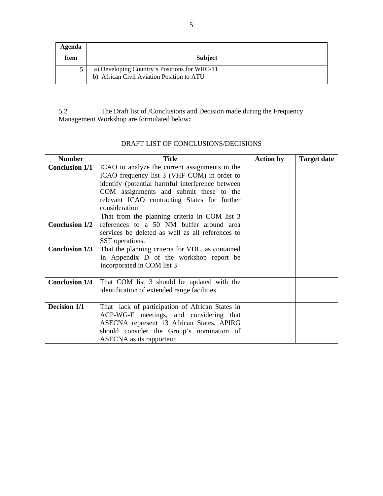| Agenda |                                                                                           |
|--------|-------------------------------------------------------------------------------------------|
| Item   | <b>Subject</b>                                                                            |
|        | a) Developing Country's Positions for WRC-11<br>b) African Civil Aviation Position to ATU |

5.2The Draft list of /Conclusions and Decision made during the Frequency Management Workshop are formulated below**:** 

| <b>Number</b>         | <b>Title</b>                                                                                                                                                                                                     | <b>Action by</b> | <b>Target date</b> |
|-----------------------|------------------------------------------------------------------------------------------------------------------------------------------------------------------------------------------------------------------|------------------|--------------------|
| <b>Conclusion 1/1</b> | ICAO to analyze the current assignments in the<br>ICAO frequency list 3 (VHF COM) in order to<br>identify (potential harmful interference between                                                                |                  |                    |
|                       | COM assignments and submit these to the<br>relevant ICAO contracting States for further<br>consideration                                                                                                         |                  |                    |
| <b>Conclusion 1/2</b> | That from the planning criteria in COM list 3<br>references to a 50 NM buffer around area<br>services be deleted as well as all references to<br>SST operations.                                                 |                  |                    |
| <b>Conclusion 1/3</b> | That the planning criteria for VDL, as contained<br>in Appendix D of the workshop report be<br>incorporated in COM list 3                                                                                        |                  |                    |
| <b>Conclusion 1/4</b> | That COM list 3 should be updated with the<br>identification of extended range facilities.                                                                                                                       |                  |                    |
| Decision 1/1          | That lack of participation of African States in<br>ACP-WG-F meetings, and considering that<br>ASECNA represent 13 African States, APIRG<br>should consider the Group's nomination of<br>ASECNA as its rapporteur |                  |                    |

## DRAFT LIST OF CONCLUSIONS/DECISIONS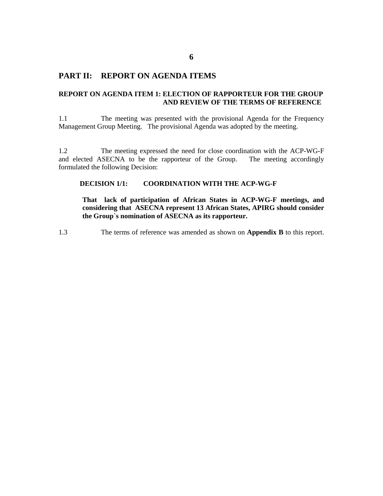### **PART II: REPORT ON AGENDA ITEMS**

### **REPORT ON AGENDA ITEM 1: ELECTION OF RAPPORTEUR FOR THE GROUP AND REVIEW OF THE TERMS OF REFERENCE**

1.1 The meeting was presented with the provisional Agenda for the Frequency Management Group Meeting. The provisional Agenda was adopted by the meeting.

1.2 The meeting expressed the need for close coordination with the ACP-WG-F and elected ASECNA to be the rapporteur of the Group. The meeting accordingly formulated the following Decision:

### **DECISION 1/1: COORDINATION WITH THE ACP-WG-F**

**That lack of participation of African States in ACP-WG-F meetings, and considering that ASECNA represent 13 African States, APIRG should consider the Group`s nomination of ASECNA as its rapporteur.** 

1.3 The terms of reference was amended as shown on **Appendix B** to this report.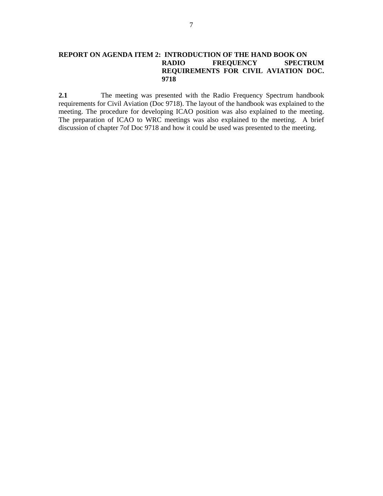**2.1** The meeting was presented with the Radio Frequency Spectrum handbook requirements for Civil Aviation (Doc 9718). The layout of the handbook was explained to the meeting. The procedure for developing ICAO position was also explained to the meeting. The preparation of ICAO to WRC meetings was also explained to the meeting. A brief discussion of chapter 7of Doc 9718 and how it could be used was presented to the meeting.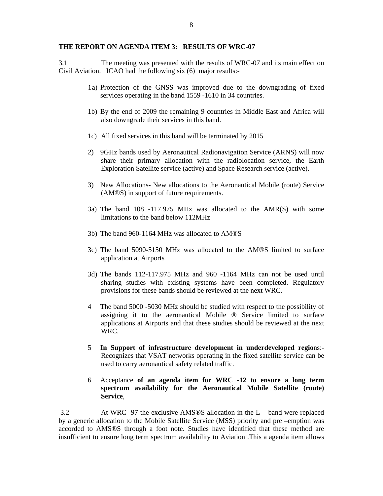### **THE REPORT ON AGENDA ITEM 3: RESULTS OF WRC-07**

3.1 The meeting was presented wi**t**h the results of WRC-07 and its main effect on Civil Aviation. ICAO had the following six (6) major results:-

- 1 a) Protection of the GNSS was improved due to the downgrading of fixed services operating in the band 1559 -1610 in 34 countries.
- 1b) By the end of 2009 the remaining 9 countries in Middle East and Africa will also downgrade their services in this band.
- 1c) All fixed services in this band will be terminated by 2015
- 2) 9GHz bands used by Aeronautical Radionavigation Service (ARNS) will now share their primary allocation with the radiolocation service, the Earth Exploration Satellite service (active) and Space Research service (active).
- 3) New AllocationsNew allocations to the Aeronautical Mobile (route) Service (AM®S) in support of future requirements.
- 3a) The band 108 -117.975 MHz was allocated to the AMR(S) with some limitations to the band below 112MHz
- 3b) The band 960-1164 MHz was allocated to AM®S
- 3c) The band 5090-5150 MHz was allocated to the AM®S limited to surface application at Airports
- 3d) The bands 112-117.975 MHz and 960 -1164 MHz can not be used until sharing studies with existing systems have been completed. Regulatory provisions for these bands should be reviewed at the next WRC.
- 4 The band 5000 -5030 MHz should be studied with respect to the possibility of assigning it to the aeronautical Mobile ® Service limited to surface applications at Airports and that these studies should be reviewed at the next WRC.
- 5 **In Support of infrastructure development in underdeveloped regio**ns:- Recognizes that VSAT networks operating in the fixed satellite service can be used to carry aeronautical safety related traffic.
- 6 Acceptance **of an agenda item for WRC -12 to ensure a long term spectrum availability for the Aeronautical Mobile Satellite (route) Service**,

 3.2 At WRC -97 the exclusive AMS®S allocation in the L – band were replaced by a generic allocation to the Mobile Satellite Service (MSS) priority and pre –emption was accorded to AMS®S through a foot note. Studies have identified that these method are insufficient to ensure long term spectrum availability to Aviation .This a agenda item allows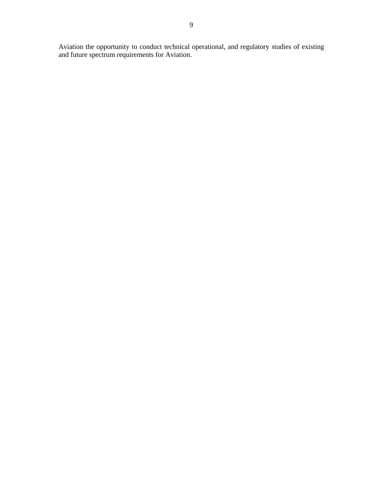Aviation the opportunity to conduct technical operational, and regulatory studies of existing and future spectrum requirements for Aviation.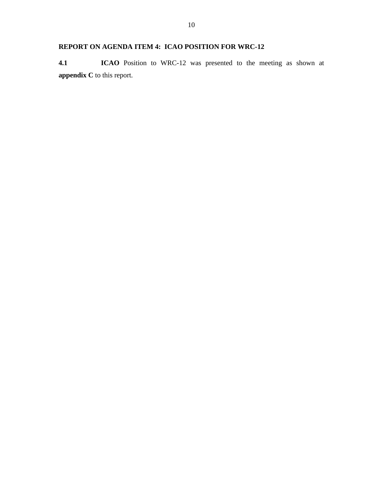## **REPORT ON AGENDA ITEM 4: ICAO POSITION FOR WRC-12**

**4.1 ICAO** Position to WRC-12 was presented to the meeting as shown at **appendix C** to this report.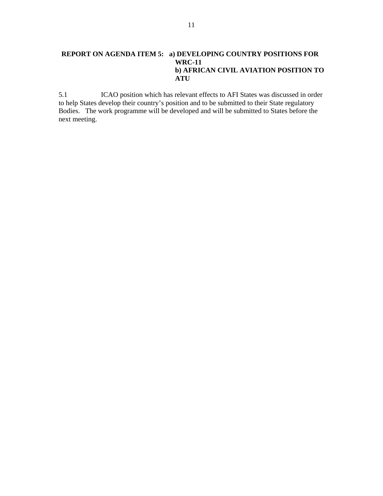### **REPORT ON AGENDA ITEM 5: a) DEVELOPING COUNTRY POSITIONS FOR WRC-11 b) AFRICAN CIVIL AVIATION POSITION TO ATU**

5.1 ICAO position which has relevant effects to AFI States was discussed in order to help States develop their country's position and to be submitted to their State regulatory Bodies. The work programme will be developed and will be submitted to States before the next meeting.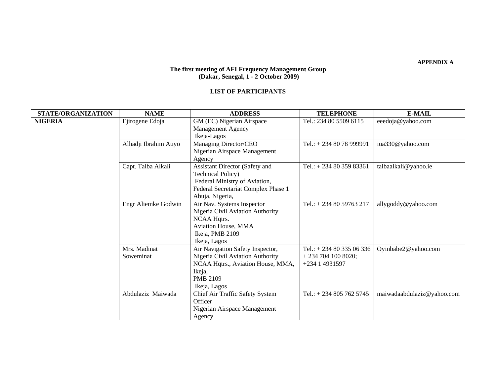### **The first meeting of AFI Frequency Management Group (Dakar, Senegal, 1 - 2 October 2009)**

#### **LIST OF PARTICIPANTS**

| STATE/ORGANIZATION | <b>NAME</b>               | <b>ADDRESS</b>                                                                                                                                                | <b>TELEPHONE</b>                                               | <b>E-MAIL</b>              |
|--------------------|---------------------------|---------------------------------------------------------------------------------------------------------------------------------------------------------------|----------------------------------------------------------------|----------------------------|
| <b>NIGERIA</b>     | Ejirogene Edoja           | GM (EC) Nigerian Airspace<br><b>Management Agency</b><br>Ikeja-Lagos                                                                                          | Tel.: 234 80 5509 6115                                         | eeedoja@yahoo.com          |
|                    | Alhadji Ibrahim Auyo      | Managing Director/CEO<br>Nigerian Airspace Management<br>Agency                                                                                               | Tel.: $+2348078999991$                                         | iua330@yahoo.com           |
|                    | Capt. Talba Alkali        | <b>Assistant Director (Safety and</b><br><b>Technical Policy</b> )<br>Federal Ministry of Aviation,<br>Federal Secretariat Complex Phase 1<br>Abuja, Nigeria, | Tel.: $+ 2348035983361$                                        | talbaalkali@yahoo.ie       |
|                    | Engr Aliemke Godwin       | Air Nav. Systems Inspector<br>Nigeria Civil Aviation Authority<br>NCAA Hqtrs.<br>Aviation House, MMA<br>Ikeja, PMB 2109<br>Ikeja, Lagos                       | Tel.: $+ 2348059763217$                                        | allygoddy@yahoo.com        |
|                    | Mrs. Madinat<br>Soweminat | Air Navigation Safety Inspector,<br>Nigeria Civil Aviation Authority<br>NCAA Hqtrs., Aviation House, MMA,<br>Ikeja,<br><b>PMB 2109</b><br>Ikeja, Lagos        | Tel.: $+ 2348033506336$<br>$+2347041008020;$<br>+234 1 4931597 | Oyinbabe2@yahoo.com        |
|                    | Abdulaziz Maiwada         | Chief Air Traffic Safety System<br>Officer<br>Nigerian Airspace Management<br>Agency                                                                          | Tel.: $+ 2348057625745$                                        | maiwadaabdulaziz@yahoo.com |

**APPENDIX A**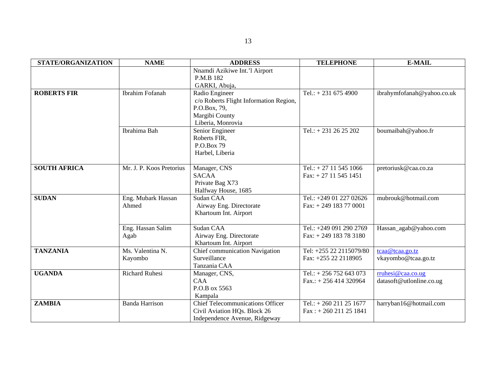| <b>STATE/ORGANIZATION</b> | <b>NAME</b>              | <b>ADDRESS</b>                          | <b>TELEPHONE</b>          | <b>E-MAIL</b>              |
|---------------------------|--------------------------|-----------------------------------------|---------------------------|----------------------------|
|                           |                          | Nnamdi Azikiwe Int.'l Airport           |                           |                            |
|                           |                          | P.M.B 182                               |                           |                            |
|                           |                          | GARKI, Abuja,                           |                           |                            |
| <b>ROBERTS FIR</b>        | Ibrahim Fofanah          | Radio Engineer                          | Tel.: $+ 231 675 4900$    | ibrahymfofanah@yahoo.co.uk |
|                           |                          | c/o Roberts Flight Information Region,  |                           |                            |
|                           |                          | P.O.Box, 79,                            |                           |                            |
|                           |                          | Margibi County                          |                           |                            |
|                           |                          | Liberia, Monrovia                       |                           |                            |
|                           | Ibrahima Bah             | Senior Engineer                         | Tel.: $+ 231 26 25 202$   | boumaibah@yahoo.fr         |
|                           |                          | Roberts FIR,                            |                           |                            |
|                           |                          | P.O.Box 79                              |                           |                            |
|                           |                          | Harbel, Liberia                         |                           |                            |
|                           |                          |                                         |                           |                            |
| <b>SOUTH AFRICA</b>       | Mr. J. P. Koos Pretorius | Manager, CNS                            | Tel.: $+ 27 11 545 1066$  | pretoriusk@caa.co.za       |
|                           |                          | <b>SACAA</b>                            | $Fax: + 27 11 545 1451$   |                            |
|                           |                          | Private Bag X73                         |                           |                            |
|                           |                          | Halfway House, 1685                     |                           |                            |
| <b>SUDAN</b>              | Eng. Mubark Hassan       | Sudan CAA                               | Tel.: +249 01 227 02626   | mubrouk@hotmail.com        |
|                           | Ahmed                    | Airway Eng. Directorate                 | Fax: $+ 249$ 183 77 0001  |                            |
|                           |                          | Khartoum Int. Airport                   |                           |                            |
|                           |                          |                                         |                           |                            |
|                           | Eng. Hassan Salim        | Sudan CAA                               | Tel.: +249 091 290 2769   | Hassan_agab@yahoo.com      |
|                           | Agab                     | Airway Eng. Directorate                 | Fax: $+ 249$ 183 78 3180  |                            |
|                           |                          | Khartoum Int. Airport                   |                           |                            |
| <b>TANZANIA</b>           | Ms. Valentina N.         | Chief communication Navigation          | Tel: +255 22 2115079/80   | tcaa@tcaa.go.tz            |
|                           | Kayombo                  | Surveillance                            | Fax: +255 22 2118905      | vkayombo@tcaa.go.tz        |
|                           |                          | Tanzania CAA                            |                           |                            |
| <b>UGANDA</b>             | <b>Richard Ruhesi</b>    | Manager, CNS,                           | Tel.: $+ 256 752 643 073$ | rruhesi@caa.co.ug          |
|                           |                          | <b>CAA</b>                              | $Fax.: + 256414320964$    | datasoft@utlonline.co.ug   |
|                           |                          | P.O.B ox 5563                           |                           |                            |
|                           |                          | Kampala                                 |                           |                            |
| <b>ZAMBIA</b>             | <b>Banda Harrison</b>    | <b>Chief Telecommunications Officer</b> | Tel.: $+ 260211251677$    | harryban16@hotmail.com     |
|                           |                          | Civil Aviation HQs. Block 26            | $Fax: + 260211251841$     |                            |
|                           |                          | Independence Avenue, Ridgeway           |                           |                            |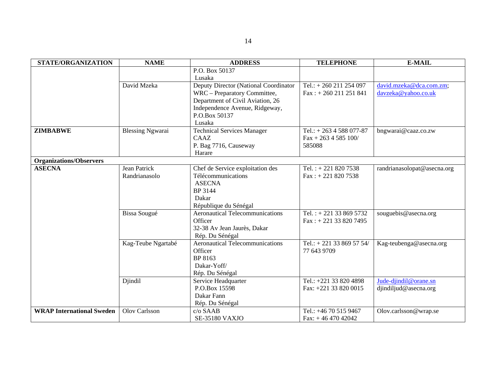| <b>STATE/ORGANIZATION</b>        | <b>NAME</b>             | <b>ADDRESS</b>                         | <b>TELEPHONE</b>            | <b>E-MAIL</b>               |
|----------------------------------|-------------------------|----------------------------------------|-----------------------------|-----------------------------|
|                                  |                         | P.O. Box 50137                         |                             |                             |
|                                  |                         | Lusaka                                 |                             |                             |
|                                  | David Mzeka             | Deputy Director (National Coordinator  | Tel.: $+ 260211254097$      | david.mzeka@dca.com.zm;     |
|                                  |                         | WRC - Preparatory Committee,           | $Fax: + 260211251841$       | davzeka@yahoo.co.uk         |
|                                  |                         | Department of Civil Aviation, 26       |                             |                             |
|                                  |                         | Independence Avenue, Ridgeway,         |                             |                             |
|                                  |                         | P.O.Box 50137                          |                             |                             |
|                                  |                         | Lusaka                                 |                             |                             |
| <b>ZIMBABWE</b>                  | <b>Blessing Ngwarai</b> | <b>Technical Services Manager</b>      | Tel.: $+ 2634588077-87$     | bngwarai@caaz.co.zw         |
|                                  |                         | CAAZ                                   | $Fax + 2634585100/$         |                             |
|                                  |                         | P. Bag 7716, Causeway                  | 585088                      |                             |
|                                  |                         | Harare                                 |                             |                             |
| <b>Organizations/Observers</b>   |                         |                                        |                             |                             |
| <b>ASECNA</b>                    | <b>Jean Patrick</b>     | Chef de Service exploitation des       | Tel.: $+ 2218207538$        | randrianasolopat@asecna.org |
|                                  | Randrianasolo           | Télécommunications                     | $Fax: + 221 820 7538$       |                             |
|                                  |                         | <b>ASECNA</b>                          |                             |                             |
|                                  |                         | BP 3144                                |                             |                             |
|                                  |                         | Dakar                                  |                             |                             |
|                                  |                         | République du Sénégal                  |                             |                             |
|                                  | Bissa Sougué            | <b>Aeronautical Telecommunications</b> | Tel.: +221 33 869 5732      | souguebis@asecna.org        |
|                                  |                         | Officer                                | $Fax: + 221 33 820 7495$    |                             |
|                                  |                         | 32-38 Av Jean Jaurès, Dakar            |                             |                             |
|                                  |                         | Rép. Du Sénégal                        |                             |                             |
|                                  | Kag-Teube Ngartabé      | <b>Aeronautical Telecommunications</b> | Tel.: $+ 221$ 33 869 57 54/ | Kag-teubenga@asecna.org     |
|                                  |                         | Officer                                | 77 643 9709                 |                             |
|                                  |                         | BP 8163                                |                             |                             |
|                                  |                         | Dakar-Yoff/                            |                             |                             |
|                                  |                         | Rép. Du Sénégal                        |                             |                             |
|                                  | Djindil                 | Service Headquarter                    | Tel.: +221 33 820 4898      | Jude-djindil@orane.sn       |
|                                  |                         | P.O.Box 15598                          | Fax: +221 33 820 0015       | djindiljud@asecna.org       |
|                                  |                         | Dakar Fann                             |                             |                             |
|                                  |                         | Rép. Du Sénégal                        |                             |                             |
| <b>WRAP International Sweden</b> | Olov Carlsson           | c/o SAAB                               | Tel.: +46 70 515 9467       | Olov.carlsson@wrap.se       |
|                                  |                         | <b>SE-35180 VAXJO</b>                  | Fax: $+4647042042$          |                             |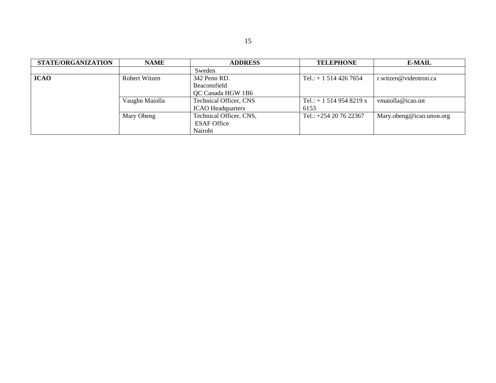| STATE/ORGANIZATION | <b>NAME</b>              | <b>ADDRESS</b>          | <b>TELEPHONE</b>        | <b>E-MAIL</b>            |
|--------------------|--------------------------|-------------------------|-------------------------|--------------------------|
|                    |                          | Sweden                  |                         |                          |
| <b>ICAO</b>        | Robert Witzen            | 342 Penn RD.            | Tel.: $+ 15144267654$   | r.witzen@videotron.ca    |
|                    |                          | Beaconsfield            |                         |                          |
|                    |                          | QC Canada HGW 1B6       |                         |                          |
| Vaughn Maiolla     |                          | Technical Officer, CNS  | Tel.: $+ 15149548219 x$ | ymaiolla@icao.int        |
|                    | <b>ICAO</b> Headquarters |                         | 6153                    |                          |
|                    | Mary Obeng               | Technical Officer, CNS, | Tel.: +254 20 76 22367  | Mary.obeng@icao.unon.org |
|                    |                          | <b>ESAF Office</b>      |                         |                          |
|                    |                          | Nairobi                 |                         |                          |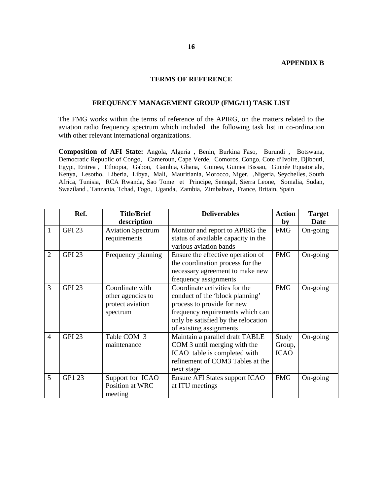### **APPENDIX B**

### **TERMS OF REFERENCE**

### **FREQUENCY MANAGEMENT GROUP (FMG/11) TASK LIST**

The FMG works within the terms of reference of the APIRG, on the matters related to the aviation radio frequency spectrum which included the following task list in co-ordination with other relevant international organizations.

**Composition of AFI State:** Angola, Algeria , Benin, Burkina Faso, Burundi , Botswana, Democratic Republic of Congo, Cameroun, Cape Verde, Comoros, Congo, Cote d'Ivoire, Djibouti, Egypt, Eritrea , Ethiopia, Gabon, Gambia, Ghana, Guinea, Guinea Bissau, Guinée Equatoriale, Kenya, Lesotho, Liberia, Libya, Mali, Mauritiania, Morocco, Niger, ,Nigeria, Seychelles, South Africa, Tunisia, RCA Rwanda, Sao Tome et Principe, Senegal, Sierra Leone, Somalia, Sudan, Swaziland , Tanzania, Tchad, Togo, Uganda, Zambia, Zimbabwe**,** France, Britain, Spain

|                | Ref.          | <b>Title/Brief</b>                                                   | <b>Deliverables</b>                                                                                                                                                                                  | <b>Action</b>                  | <b>Target</b> |
|----------------|---------------|----------------------------------------------------------------------|------------------------------------------------------------------------------------------------------------------------------------------------------------------------------------------------------|--------------------------------|---------------|
|                |               | description                                                          |                                                                                                                                                                                                      | by                             | <b>Date</b>   |
| $\mathbf{1}$   | <b>GPI 23</b> | <b>Aviation Spectrum</b><br>requirements                             | Monitor and report to APIRG the<br>status of available capacity in the<br>various aviation bands                                                                                                     | <b>FMG</b>                     | On-going      |
| $\overline{2}$ | <b>GPI 23</b> | Frequency planning                                                   | Ensure the effective operation of<br>the coordination process for the<br>necessary agreement to make new<br>frequency assignments                                                                    | <b>FMG</b>                     | On-going      |
| 3              | <b>GPI 23</b> | Coordinate with<br>other agencies to<br>protect aviation<br>spectrum | Coordinate activities for the<br>conduct of the 'block planning'<br>process to provide for new<br>frequency requirements which can<br>only be satisfied by the relocation<br>of existing assignments | <b>FMG</b>                     | On-going      |
| $\overline{4}$ | <b>GPI 23</b> | Table COM 3<br>maintenance                                           | Maintain a parallel draft TABLE<br>COM 3 until merging with the<br>ICAO table is completed with<br>refinement of COM3 Tables at the<br>next stage                                                    | Study<br>Group,<br><b>ICAO</b> | On-going      |
| 5              | GP1 23        | Support for ICAO<br>Position at WRC<br>meeting                       | Ensure AFI States support ICAO<br>at ITU meetings                                                                                                                                                    | <b>FMG</b>                     | On-going      |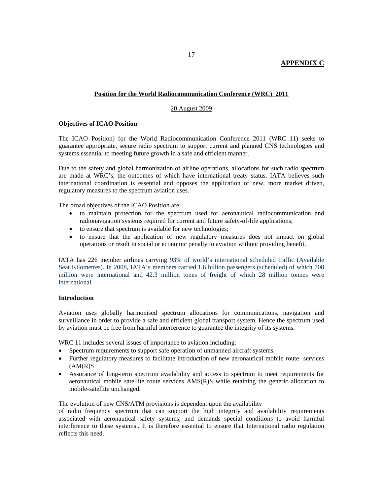### **APPENDIX C**

### **Position for the World Radiocommunication Conference (WRC) 2011**

### 20 August 2009

### **Objectives of ICAO Position**

The ICAO Position) for the World Radiocommunication Conference 2011 (WRC 11) seeks to guarantee appropriate, secure radio spectrum to support current and planned CNS technologies and systems essential to meeting future growth in a safe and efficient manner.

Due to the safety and global harmonization of airline operations, allocations for such radio spectrum are made at WRC's, the outcomes of which have international treaty status. IATA believes such international coordination is essential and opposes the application of new, more market driven, regulatory measures to the spectrum aviation uses.

The broad objectives of the ICAO Position are:

- to maintain protection for the spectrum used for aeronautical radiocommunication and radionavigation systems required for current and future safety-of-life applications;
- to ensure that spectrum is available for new technologies;
- to ensure that the application of new regulatory measures does not impact on global operations or result in social or economic penalty to aviation without providing benefit.

IATA has 226 member airlines carrying 93% of world's international scheduled traffic (Available Seat Kilometres). In 2008, IATA's members carried 1.6 billion passengers (scheduled) of which 708 million were international and 42.3 million tones of freight of which 28 million tonnes were international

### **Introduction**

Aviation uses globally harmonised spectrum allocations for communications, navigation and surveillance in order to provide a safe and efficient global transport system. Hence the spectrum used by aviation must be free from harmful interference to guarantee the integrity of its systems.

WRC 11 includes several issues of importance to aviation including:

- Spectrum requirements to support safe operation of unmanned aircraft systems.
- Further regulatory measures to facilitate introduction of new aeronautical mobile route services  $(AM(R)S)$
- Assurance of long-term spectrum availability and access to spectrum to meet requirements for aeronautical mobile satellite route services AMS(R)S while retaining the generic allocation to mobile-satellite unchanged.

The evolution of new CNS/ATM provisions is dependent upon the availability

of radio frequency spectrum that can support the high integrity and availability requirements associated with aeronautical safety systems, and demands special conditions to avoid harmful interference to these systems.. It is therefore essential to ensure that International radio regulation reflects this need.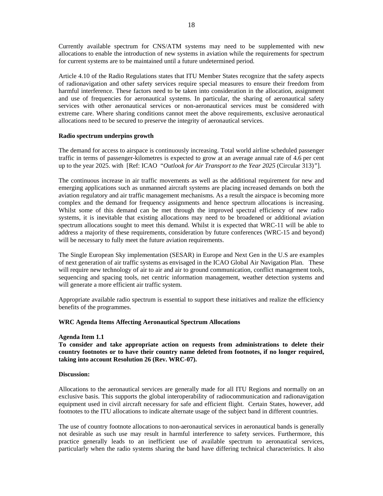Currently available spectrum for CNS/ATM systems may need to be supplemented with new allocations to enable the introduction of new systems in aviation while the requirements for spectrum for current systems are to be maintained until a future undetermined period.

Article 4.10 of the Radio Regulations states that ITU Member States recognize that the safety aspects of radionavigation and other safety services require special measures to ensure their freedom from harmful interference. These factors need to be taken into consideration in the allocation, assignment and use of frequencies for aeronautical systems. In particular, the sharing of aeronautical safety services with other aeronautical services or non-aeronautical services must be considered with extreme care. Where sharing conditions cannot meet the above requirements, exclusive aeronautical allocations need to be secured to preserve the integrity of aeronautical services.

### **Radio spectrum underpins growth**

The demand for access to airspace is continuously increasing. Total world airline scheduled passenger traffic in terms of passenger-kilometres is expected to grow at an average annual rate of 4.6 per cent up to the year 2025. with [Ref: ICAO "*Outlook for Air Transport to the Year 2025* (Circular 313)*"*].

The continuous increase in air traffic movements as well as the additional requirement for new and emerging applications such as unmanned aircraft systems are placing increased demands on both the aviation regulatory and air traffic management mechanisms. As a result the airspace is becoming more complex and the demand for frequency assignments and hence spectrum allocations is increasing. Whilst some of this demand can be met through the improved spectral efficiency of new radio systems, it is inevitable that existing allocations may need to be broadened or additional aviation spectrum allocations sought to meet this demand. Whilst it is expected that WRC-11 will be able to address a majority of these requirements, consideration by future conferences (WRC-15 and beyond) will be necessary to fully meet the future aviation requirements.

The Single European Sky implementation (SESAR) in Europe and Next Gen in the U.S are examples of next generation of air traffic systems as envisaged in the ICAO Global Air Navigation Plan. These will require new technology of air to air and air to ground communication, conflict management tools, sequencing and spacing tools, net centric information management, weather detection systems and will generate a more efficient air traffic system.

Appropriate available radio spectrum is essential to support these initiatives and realize the efficiency benefits of the programmes.

#### **WRC Agenda Items Affecting Aeronautical Spectrum Allocations**

#### **Agenda Item 1.1**

**To consider and take appropriate action on requests from administrations to delete their country footnotes or to have their country name deleted from footnotes, if no longer required, taking into account Resolution 26 (Rev. WRC-07).** 

#### **Discussion:**

Allocations to the aeronautical services are generally made for all ITU Regions and normally on an exclusive basis. This supports the global interoperability of radiocommunication and radionavigation equipment used in civil aircraft necessary for safe and efficient flight. Certain States, however, add footnotes to the ITU allocations to indicate alternate usage of the subject band in different countries.

The use of country footnote allocations to non-aeronautical services in aeronautical bands is generally not desirable as such use may result in harmful interference to safety services. Furthermore, this practice generally leads to an inefficient use of available spectrum to aeronautical services, particularly when the radio systems sharing the band have differing technical characteristics. It also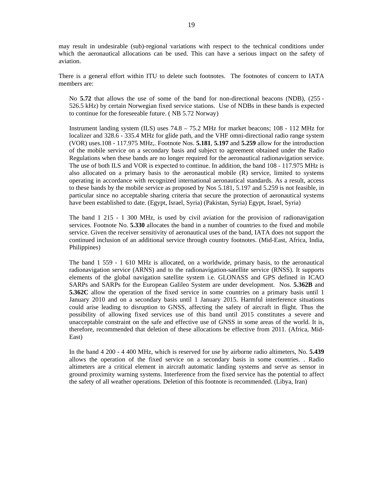may result in undesirable (sub)-regional variations with respect to the technical conditions under which the aeronautical allocations can be used. This can have a serious impact on the safety of aviation.

There is a general effort within ITU to delete such footnotes. The footnotes of concern to IATA members are:

No **5.72** that allows the use of some of the band for non-directional beacons (NDB), (255 - 526.5 kHz) by certain Norwegian fixed service stations. Use of NDBs in these bands is expected to continue for the foreseeable future. ( NB 5.72 Norway)

Instrument landing system (ILS) uses 74.8 – 75.2 MHz for market beacons; 108 - 112 MHz for localizer and 328.6 - 335.4 MHz for glide path, and the VHF omni-directional radio range system (VOR) uses.108 - 117.975 MHz,. Footnote Nos. **5.181**, **5.197** and **5.259** allow for the introduction of the mobile service on a secondary basis and subject to agreement obtained under the Radio Regulations when these bands are no longer required for the aeronautical radionavigation service. The use of both ILS and VOR is expected to continue. In addition, the band 108 - 117.975 MHz is also allocated on a primary basis to the aeronautical mobile (R) service, limited to systems operating in accordance with recognized international aeronautical standards. As a result, access to these bands by the mobile service as proposed by Nos 5.181, 5.197 and 5.259 is not feasible, in particular since no acceptable sharing criteria that secure the protection of aeronautical systems have been established to date. (Egypt, Israel, Syria) (Pakistan, Syria) Egypt, Israel, Syria)

The band 1 215 - 1 300 MHz, is used by civil aviation for the provision of radionavigation services. Footnote No. **5.330** allocates the band in a number of countries to the fixed and mobile service. Given the receiver sensitivity of aeronautical uses of the band, IATA does not support the continued inclusion of an additional service through country footnotes. (Mid-East, Africa, India, Philippines)

The band 1 559 - 1 610 MHz is allocated, on a worldwide, primary basis, to the aeronautical radionavigation service (ARNS) and to the radionavigation-satellite service (RNSS). It supports elements of the global navigation satellite system i.e. GLONASS and GPS defined in ICAO SARPs and SARPs for the European Galileo System are under development. Nos. **5.362B** and **5.362C** allow the operation of the fixed service in some countries on a primary basis until 1 January 2010 and on a secondary basis until 1 January 2015. Harmful interference situations could arise leading to disruption to GNSS, affecting the safety of aircraft in flight. Thus the possibility of allowing fixed services use of this band until 2015 constitutes a severe and unacceptable constraint on the safe and effective use of GNSS in some areas of the world. It is, therefore, recommended that deletion of these allocations be effective from 2011. (Africa, Mid-East)

In the band 4 200 - 4 400 MHz, which is reserved for use by airborne radio altimeters, No. **5.439**  allows the operation of the fixed service on a secondary basis in some countries. . Radio altimeters are a critical element in aircraft automatic landing systems and serve as sensor in ground proximity warning systems. Interference from the fixed service has the potential to affect the safety of all weather operations. Deletion of this footnote is recommended. (Libya, Iran)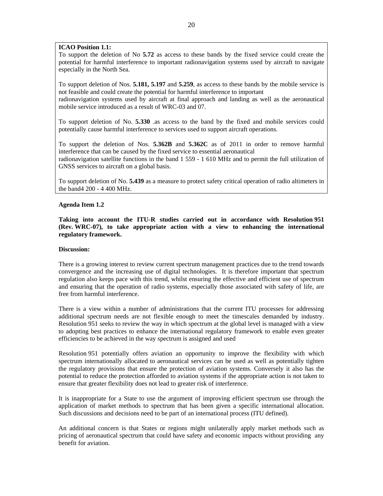### **ICAO Position 1.1:**

To support the deletion of No **5.72** as access to these bands by the fixed service could create the potential for harmful interference to important radionavigation systems used by aircraft to navigate especially in the North Sea.

To support deletion of Nos. **5.181, 5.197** and **5.259**, as access to these bands by the mobile service is not feasible and could create the potential for harmful interference to important radionavigation systems used by aircraft at final approach and landing as well as the aeronautical mobile service introduced as a result of WRC-03 and 07.

To support deletion of No. **5.330** .as access to the band by the fixed and mobile services could potentially cause harmful interference to services used to support aircraft operations.

To support the deletion of Nos. **5.362B** and **5.362C** as of 2011 in order to remove harmful interference that can be caused by the fixed service to essential aeronautical radionavigation satellite functions in the band 1 559 - 1 610 MHz and to permit the full utilization of GNSS services to aircraft on a global basis.

To support deletion of No. **5.439** as a measure to protect safety critical operation of radio altimeters in the band4 200 - 4 400 MHz.

#### **Agenda Item 1.2**

**Taking into account the ITU-R studies carried out in accordance with Resolution 951 (Rev. WRC-07), to take appropriate action with a view to enhancing the international regulatory framework.** 

### **Discussion:**

There is a growing interest to review current spectrum management practices due to the trend towards convergence and the increasing use of digital technologies. It is therefore important that spectrum regulation also keeps pace with this trend, whilst ensuring the effective and efficient use of spectrum and ensuring that the operation of radio systems, especially those associated with safety of life, are free from harmful interference.

There is a view within a number of administrations that the current ITU processes for addressing additional spectrum needs are not flexible enough to meet the timescales demanded by industry. Resolution 951 seeks to review the way in which spectrum at the global level is managed with a view to adopting best practices to enhance the international regulatory framework to enable even greater efficiencies to be achieved in the way spectrum is assigned and used

Resolution 951 potentially offers aviation an opportunity to improve the flexibility with which spectrum internationally allocated to aeronautical services can be used as well as potentially tighten the regulatory provisions that ensure the protection of aviation systems. Conversely it also has the potential to reduce the protection afforded to aviation systems if the appropriate action is not taken to ensure that greater flexibility does not lead to greater risk of interference.

It is inappropriate for a State to use the argument of improving efficient spectrum use through the application of market methods to spectrum that has been given a specific international allocation. Such discussions and decisions need to be part of an international process (ITU defined).

An additional concern is that States or regions might unilaterally apply market methods such as pricing of aeronautical spectrum that could have safety and economic impacts without providing any benefit for aviation.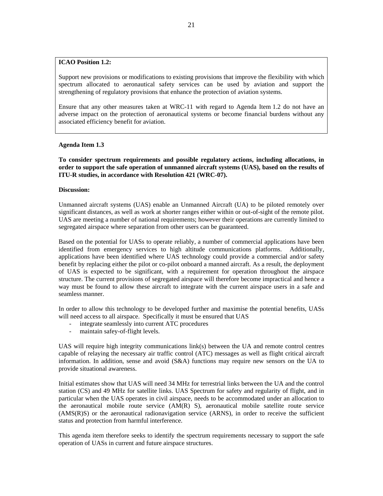### **ICAO Position 1.2:**

Support new provisions or modifications to existing provisions that improve the flexibility with which spectrum allocated to aeronautical safety services can be used by aviation and support the strengthening of regulatory provisions that enhance the protection of aviation systems.

Ensure that any other measures taken at WRC-11 with regard to Agenda Item 1.2 do not have an adverse impact on the protection of aeronautical systems or become financial burdens without any associated efficiency benefit for aviation.

### **Agenda Item 1.3**

**To consider spectrum requirements and possible regulatory actions, including allocations, in order to support the safe operation of unmanned aircraft systems (UAS), based on the results of ITU-R studies, in accordance with Resolution 421 (WRC-07).** 

### **Discussion:**

Unmanned aircraft systems (UAS) enable an Unmanned Aircraft (UA) to be piloted remotely over significant distances, as well as work at shorter ranges either within or out-of-sight of the remote pilot. UAS are meeting a number of national requirements; however their operations are currently limited to segregated airspace where separation from other users can be guaranteed.

Based on the potential for UASs to operate reliably, a number of commercial applications have been identified from emergency services to high altitude communications platforms. Additionally, applications have been identified where UAS technology could provide a commercial and/or safety benefit by replacing either the pilot or co-pilot onboard a manned aircraft. As a result, the deployment of UAS is expected to be significant, with a requirement for operation throughout the airspace structure. The current provisions of segregated airspace will therefore become impractical and hence a way must be found to allow these aircraft to integrate with the current airspace users in a safe and seamless manner.

In order to allow this technology to be developed further and maximise the potential benefits, UASs will need access to all airspace. Specifically it must be ensured that UAS

- integrate seamlessly into current ATC procedures
- maintain safey-of-flight levels.

UAS will require high integrity communications link(s) between the UA and remote control centres capable of relaying the necessary air traffic control (ATC) messages as well as flight critical aircraft information. In addition, sense and avoid (S&A) functions may require new sensors on the UA to provide situational awareness.

Initial estimates show that UAS will need 34 MHz for terrestrial links between the UA and the control station (CS) and 49 MHz for satellite links. UAS Spectrum for safety and regularity of flight, and in particular when the UAS operates in civil airspace, needs to be accommodated under an allocation to the aeronautical mobile route service (AM(R) S), aeronautical mobile satellite route service (AMS(R)S) or the aeronautical radionavigation service (ARNS), in order to receive the sufficient status and protection from harmful interference.

This agenda item therefore seeks to identify the spectrum requirements necessary to support the safe operation of UASs in current and future airspace structures.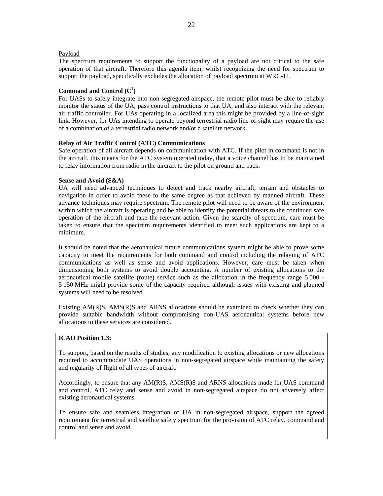### Payload

The spectrum requirements to support the functionality of a payload are not critical to the safe operation of that aircraft. Therefore this agenda item, whilst recognizing the need for spectrum to support the payload, specifically excludes the allocation of payload spectrum at WRC-11.

### Command and Control  $(C^2)$

For UASs to safely integrate into non-segregated airspace, the remote pilot must be able to reliably monitor the status of the UA, pass control instructions to that UA, and also interact with the relevant air traffic controller. For UAs operating in a localized area this might be provided by a line-of-sight link. However, for UAs intending to operate beyond terrestrial radio line-of-sight may require the use of a combination of a terrestrial radio network and/or a satellite network.

### **Relay of Air Traffic Control (ATC) Communications**

Safe operation of all aircraft depends on communication with ATC. If the pilot in command is not in the aircraft, this means for the ATC system operated today, that a voice channel has to be maintained to relay information from radio in the aircraft to the pilot on ground and back.

### **Sense and Avoid (S&A)**

UA will need advanced techniques to detect and track nearby aircraft, terrain and obstacles to navigation in order to avoid these to the same degree as that achieved by manned aircraft. These advance techniques may require spectrum. The remote pilot will need to be aware of the environment within which the aircraft is operating and be able to identify the potential threats to the continued safe operation of the aircraft and take the relevant action. Given the scarcity of spectrum, care must be taken to ensure that the spectrum requirements identified to meet such applications are kept to a minimum.

It should be noted that the aeronautical future communications system might be able to prove some capacity to meet the requirements for both command and control including the relaying of ATC communications as well as sense and avoid applications. However, care must be taken when dimensioning both systems to avoid double accounting. A number of existing allocations to the aeronautical mobile satellite (route) service such as the allocation in the frequency range 5 000 - 5 150 MHz might provide some of the capacity required although issues with existing and planned systems will need to be resolved.

Existing AM(R)S, AMS(R)S and ARNS allocations should be examined to check whether they can provide suitable bandwidth without compromising non-UAS aeronautical systems before new allocations to these services are considered.

### **ICAO Position 1.3:**

To support, based on the results of studies, any modification to existing allocations or new allocations required to accommodate UAS operations in non-segregated airspace while maintaining the safety and regularity of flight of all types of aircraft.

Accordingly, to ensure that any AM(R)S, AMS(R)S and ARNS allocations made for UAS command and control, ATC relay and sense and avoid in non-segregated airspace do not adversely affect existing aeronautical systems

To ensure safe and seamless integration of UA in non-segregated airspace, support the agreed requirement for terrestrial and satellite safety spectrum for the provision of ATC relay, command and control and sense and avoid.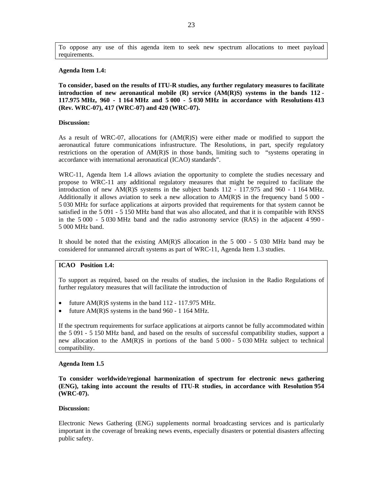To oppose any use of this agenda item to seek new spectrum allocations to meet payload requirements.

#### **Agenda Item 1.4:**

**To consider, based on the results of ITU-R studies, any further regulatory measures to facilitate introduction of new aeronautical mobile (R) service (AM(R)S) systems in the bands 112 - 117.975 MHz, 960 - 1 164 MHz and 5 000 - 5 030 MHz in accordance with Resolutions 413 (Rev. WRC-07), 417 (WRC-07) and 420 (WRC-07).** 

#### **Discussion:**

As a result of WRC-07, allocations for (AM(R)S) were either made or modified to support the aeronautical future communications infrastructure. The Resolutions, in part, specify regulatory restrictions on the operation of  $AM(R)S$  in those bands, limiting such to "systems operating in accordance with international aeronautical (ICAO) standards".

WRC-11, Agenda Item 1.4 allows aviation the opportunity to complete the studies necessary and propose to WRC-11 any additional regulatory measures that might be required to facilitate the introduction of new AM(R)S systems in the subject bands 112 - 117.975 and 960 - 1 164 MHz. Additionally it allows aviation to seek a new allocation to  $AM(R)S$  in the frequency band 5 000 -5 030 MHz for surface applications at airports provided that requirements for that system cannot be satisfied in the 5 091 - 5 150 MHz band that was also allocated, and that it is compatible with RNSS in the 5 000 - 5 030 MHz band and the radio astronomy service (RAS) in the adjacent 4 990 - 5 000 MHz band.

It should be noted that the existing AM(R)S allocation in the 5 000 - 5 030 MHz band may be considered for unmanned aircraft systems as part of WRC-11, Agenda Item 1.3 studies.

### **ICAO Position 1.4:**

To support as required, based on the results of studies, the inclusion in the Radio Regulations of further regulatory measures that will facilitate the introduction of

- future AM(R)S systems in the band 112 117.975 MHz.
- future  $AM(R)S$  systems in the band 960 1 164 MHz.

If the spectrum requirements for surface applications at airports cannot be fully accommodated within the 5 091 - 5 150 MHz band, and based on the results of successful compatibility studies, support a new allocation to the AM(R)S in portions of the band 5 000 - 5 030 MHz subject to technical compatibility.

#### **Agenda Item 1.5**

**To consider worldwide/regional harmonization of spectrum for electronic news gathering (ENG), taking into account the results of ITU-R studies, in accordance with Resolution 954 (WRC-07).** 

#### **Discussion:**

Electronic News Gathering (ENG) supplements normal broadcasting services and is particularly important in the coverage of breaking news events, especially disasters or potential disasters affecting public safety.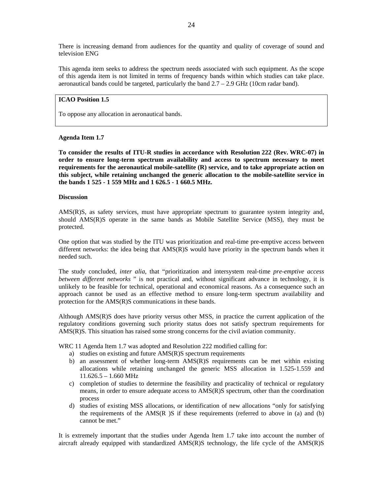There is increasing demand from audiences for the quantity and quality of coverage of sound and television ENG

This agenda item seeks to address the spectrum needs associated with such equipment. As the scope of this agenda item is not limited in terms of frequency bands within which studies can take place. aeronautical bands could be targeted, particularly the band  $2.7 - 2.9$  GHz (10cm radar band).

### **ICAO Position 1.5**

To oppose any allocation in aeronautical bands.

### **Agenda Item 1.7**

**To consider the results of ITU-R studies in accordance with Resolution 222 (Rev. WRC-07) in order to ensure long-term spectrum availability and access to spectrum necessary to meet requirements for the aeronautical mobile-satellite (R) service, and to take appropriate action on this subject, while retaining unchanged the generic allocation to the mobile-satellite service in the bands 1 525 - 1 559 MHz and 1 626.5 - 1 660.5 MHz.** 

#### **Discussion**

AMS(R)S, as safety services, must have appropriate spectrum to guarantee system integrity and, should AMS(R)S operate in the same bands as Mobile Satellite Service (MSS), they must be protected.

One option that was studied by the ITU was prioritization and real-time pre-emptive access between different networks: the idea being that AMS(R)S would have priority in the spectrum bands when it needed such.

The study concluded, *inter alia*, that "prioritization and intersystem real-time *pre-emptive access between different networks* " is not practical and, without significant advance in technology, it is unlikely to be feasible for technical, operational and economical reasons. As a consequence such an approach cannot be used as an effective method to ensure long-term spectrum availability and protection for the AMS(R)S communications in these bands.

Although AMS(R)S does have priority versus other MSS, in practice the current application of the regulatory conditions governing such priority status does not satisfy spectrum requirements for AMS(R)S. This situation has raised some strong concerns for the civil aviation community.

WRC 11 Agenda Item 1.7 was adopted and Resolution 222 modified calling for:

- a) studies on existing and future AMS(R)S spectrum requirements
- b) an assessment of whether long-term AMS(R)S requirements can be met within existing allocations while retaining unchanged the generic MSS allocation in 1.525-1.559 and 11.626.5 – 1.660 MHz
- c) completion of studies to determine the feasibility and practicality of technical or regulatory means, in order to ensure adequate access to AMS(R)S spectrum, other than the coordination process
- d) studies of existing MSS allocations, or identification of new allocations "only for satisfying the requirements of the  $AMS(R)$  is if these requirements (referred to above in (a) and (b) cannot be met."

It is extremely important that the studies under Agenda Item 1.7 take into account the number of aircraft already equipped with standardized AMS(R)S technology, the life cycle of the AMS(R)S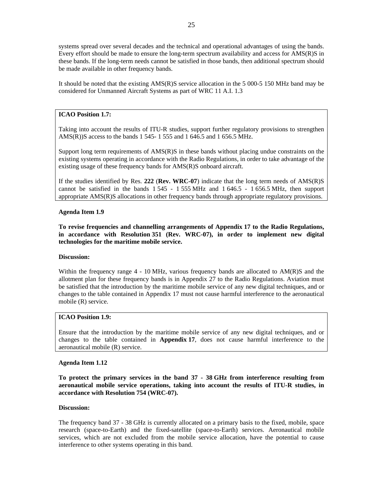systems spread over several decades and the technical and operational advantages of using the bands. Every effort should be made to ensure the long-term spectrum availability and access for AMS(R)S in these bands. If the long-term needs cannot be satisfied in those bands, then additional spectrum should be made available in other frequency bands.

It should be noted that the existing AMS(R)S service allocation in the 5 000-5 150 MHz band may be considered for Unmanned Aircraft Systems as part of WRC 11 A.I. 1.3

### **ICAO Position 1.7:**

Taking into account the results of ITU-R studies, support further regulatory provisions to strengthen AMS(R))S access to the bands 1 545- 1 555 and 1 646.5 and 1 656.5 MHz.

Support long term requirements of AMS(R)S in these bands without placing undue constraints on the existing systems operating in accordance with the Radio Regulations, in order to take advantage of the existing usage of these frequency bands for AMS(R)S onboard aircraft.

If the studies identified by Res. **222** (**Rev. WRC-07**) indicate that the long term needs of AMS(R)S cannot be satisfied in the bands 1 545 - 1 555 MHz and 1 646.5 - 1 656.5 MHz, then support appropriate AMS(R)S allocations in other frequency bands through appropriate regulatory provisions.

### **Agenda Item 1.9**

**To revise frequencies and channelling arrangements of Appendix 17 to the Radio Regulations, in accordance with Resolution 351 (Rev. WRC-07), in order to implement new digital technologies for the maritime mobile service.** 

### **Discussion:**

Within the frequency range  $4 - 10$  MHz, various frequency bands are allocated to  $AM(R)S$  and the allotment plan for these frequency bands is in Appendix 27 to the Radio Regulations. Aviation must be satisfied that the introduction by the maritime mobile service of any new digital techniques, and or changes to the table contained in Appendix 17 must not cause harmful interference to the aeronautical mobile (R) service.

### **ICAO Position 1.9:**

Ensure that the introduction by the maritime mobile service of any new digital techniques, and or changes to the table contained in **Appendix 17**, does not cause harmful interference to the aeronautical mobile (R) service.

#### **Agenda Item 1.12**

**To protect the primary services in the band 37 - 38 GHz from interference resulting from aeronautical mobile service operations, taking into account the results of ITU-R studies, in accordance with Resolution 754 (WRC-07).** 

#### **Discussion:**

The frequency band 37 - 38 GHz is currently allocated on a primary basis to the fixed, mobile, space research (space-to-Earth) and the fixed-satellite (space-to-Earth) services. Aeronautical mobile services, which are not excluded from the mobile service allocation, have the potential to cause interference to other systems operating in this band.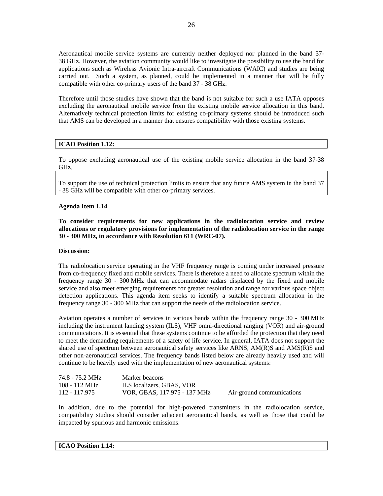Aeronautical mobile service systems are currently neither deployed nor planned in the band 37- 38 GHz. However, the aviation community would like to investigate the possibility to use the band for applications such as Wireless Avionic Intra-aircraft Communications (WAIC) and studies are being carried out. Such a system, as planned, could be implemented in a manner that will be fully compatible with other co-primary users of the band 37 - 38 GHz.

Therefore until those studies have shown that the band is not suitable for such a use IATA opposes excluding the aeronautical mobile service from the existing mobile service allocation in this band. Alternatively technical protection limits for existing co-primary systems should be introduced such that AMS can be developed in a manner that ensures compatibility with those existing systems.

### **ICAO Position 1.12:**

To oppose excluding aeronautical use of the existing mobile service allocation in the band 37-38 GHz.

To support the use of technical protection limits to ensure that any future AMS system in the band 37 - 38 GHz will be compatible with other co-primary services.

### **Agenda Item 1.14**

**To consider requirements for new applications in the radiolocation service and review allocations or regulatory provisions for implementation of the radiolocation service in the range 30 - 300 MHz, in accordance with Resolution 611 (WRC-07).** 

### **Discussion:**

The radiolocation service operating in the VHF frequency range is coming under increased pressure from co-frequency fixed and mobile services. There is therefore a need to allocate spectrum within the frequency range 30 - 300 MHz that can accommodate radars displaced by the fixed and mobile service and also meet emerging requirements for greater resolution and range for various space object detection applications. This agenda item seeks to identify a suitable spectrum allocation in the frequency range 30 - 300 MHz that can support the needs of the radiolocation service.

Aviation operates a number of services in various bands within the frequency range 30 - 300 MHz including the instrument landing system (ILS), VHF omni-directional ranging (VOR) and air-ground communications. It is essential that these systems continue to be afforded the protection that they need to meet the demanding requirements of a safety of life service. In general, IATA does not support the shared use of spectrum between aeronautical safety services like ARNS, AM(R)S and AMS(R)S and other non-aeronautical services. The frequency bands listed below are already heavily used and will continue to be heavily used with the implementation of new aeronautical systems:

| 74.8 - 75.2 MHz | Marker beacons               |                           |
|-----------------|------------------------------|---------------------------|
| 108 - 112 MHz   | ILS localizers, GBAS, VOR    |                           |
| 112 - 117.975   | VOR, GBAS, 117.975 - 137 MHz | Air-ground communications |

In addition, due to the potential for high-powered transmitters in the radiolocation service, compatibility studies should consider adjacent aeronautical bands, as well as those that could be impacted by spurious and harmonic emissions.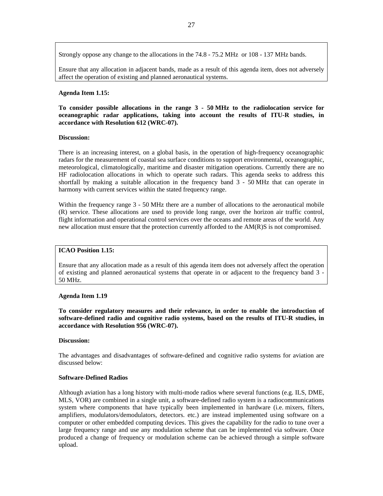Strongly oppose any change to the allocations in the 74.8 - 75.2 MHz or 108 - 137 MHz bands.

Ensure that any allocation in adjacent bands, made as a result of this agenda item, does not adversely affect the operation of existing and planned aeronautical systems.

### **Agenda Item 1.15:**

**To consider possible allocations in the range 3 - 50 MHz to the radiolocation service for oceanographic radar applications, taking into account the results of ITU-R studies, in accordance with Resolution 612 (WRC-07).** 

#### **Discussion:**

There is an increasing interest, on a global basis, in the operation of high-frequency oceanographic radars for the measurement of coastal sea surface conditions to support environmental, oceanographic, meteorological, climatologically, maritime and disaster mitigation operations. Currently there are no HF radiolocation allocations in which to operate such radars. This agenda seeks to address this shortfall by making a suitable allocation in the frequency band 3 - 50 MHz that can operate in harmony with current services within the stated frequency range.

Within the frequency range 3 - 50 MHz there are a number of allocations to the aeronautical mobile (R) service. These allocations are used to provide long range, over the horizon air traffic control, flight information and operational control services over the oceans and remote areas of the world. Any new allocation must ensure that the protection currently afforded to the AM(R)S is not compromised.

### **ICAO Position 1.15:**

Ensure that any allocation made as a result of this agenda item does not adversely affect the operation of existing and planned aeronautical systems that operate in or adjacent to the frequency band 3 - 50 MHz.

### **Agenda Item 1.19**

**To consider regulatory measures and their relevance, in order to enable the introduction of software-defined radio and cognitive radio systems, based on the results of ITU-R studies, in accordance with Resolution 956 (WRC-07).** 

### **Discussion:**

The advantages and disadvantages of software-defined and cognitive radio systems for aviation are discussed below:

#### **Software-Defined Radios**

Although aviation has a long history with multi-mode radios where several functions (e.g. ILS, DME, MLS, VOR) are combined in a single unit, a software-defined radio system is a radiocommunications system where components that have typically been implemented in hardware (i.e. mixers, filters, amplifiers, modulators/demodulators, detectors. etc.) are instead implemented using software on a computer or other embedded computing devices. This gives the capability for the radio to tune over a large frequency range and use any modulation scheme that can be implemented via software. Once produced a change of frequency or modulation scheme can be achieved through a simple software upload.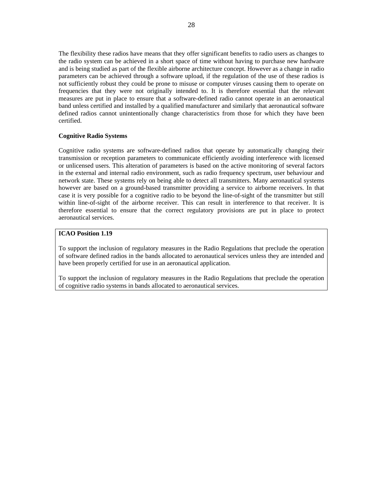The flexibility these radios have means that they offer significant benefits to radio users as changes to the radio system can be achieved in a short space of time without having to purchase new hardware and is being studied as part of the flexible airborne architecture concept. However as a change in radio parameters can be achieved through a software upload, if the regulation of the use of these radios is not sufficiently robust they could be prone to misuse or computer viruses causing them to operate on frequencies that they were not originally intended to. It is therefore essential that the relevant measures are put in place to ensure that a software-defined radio cannot operate in an aeronautical band unless certified and installed by a qualified manufacturer and similarly that aeronautical software defined radios cannot unintentionally change characteristics from those for which they have been certified.

### **Cognitive Radio Systems**

Cognitive radio systems are software-defined radios that operate by automatically changing their transmission or reception parameters to communicate efficiently avoiding interference with licensed or unlicensed users. This alteration of parameters is based on the active monitoring of several factors in the external and internal radio environment, such as radio frequency spectrum, user behaviour and network state. These systems rely on being able to detect all transmitters. Many aeronautical systems however are based on a ground-based transmitter providing a service to airborne receivers. In that case it is very possible for a cognitive radio to be beyond the line-of-sight of the transmitter but still within line-of-sight of the airborne receiver. This can result in interference to that receiver. It is therefore essential to ensure that the correct regulatory provisions are put in place to protect aeronautical services.

### **ICAO Position 1.19**

To support the inclusion of regulatory measures in the Radio Regulations that preclude the operation of software defined radios in the bands allocated to aeronautical services unless they are intended and have been properly certified for use in an aeronautical application.

To support the inclusion of regulatory measures in the Radio Regulations that preclude the operation of cognitive radio systems in bands allocated to aeronautical services.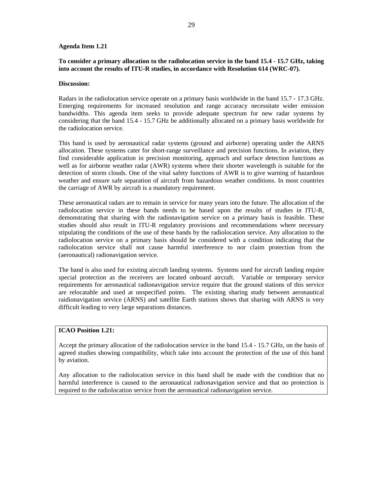### **Agenda Item 1.21**

### **To consider a primary allocation to the radiolocation service in the band 15.4 - 15.7 GHz, taking into account the results of ITU-R studies, in accordance with Resolution 614 (WRC-07).**

### **Discussion:**

Radars in the radiolocation service operate on a primary basis worldwide in the band 15.7 - 17.3 GHz. Emerging requirements for increased resolution and range accuracy necessitate wider emission bandwidths. This agenda item seeks to provide adequate spectrum for new radar systems by considering that the band 15.4 - 15.7 GHz be additionally allocated on a primary basis worldwide for the radiolocation service.

This band is used by aeronautical radar systems (ground and airborne) operating under the ARNS allocation. These systems cater for short-range surveillance and precision functions. In aviation, they find considerable application in precision monitoring, approach and surface detection functions as well as for airborne weather radar (AWR) systems where their shorter wavelength is suitable for the detection of storm clouds. One of the vital safety functions of AWR is to give warning of hazardous weather and ensure safe separation of aircraft from hazardous weather conditions. In most countries the carriage of AWR by aircraft is a mandatory requirement.

These aeronautical radars are to remain in service for many years into the future. The allocation of the radiolocation service in these bands needs to be based upon the results of studies in ITU-R, demonstrating that sharing with the radionavigation service on a primary basis is feasible. These studies should also result in ITU-R regulatory provisions and recommendations where necessary stipulating the conditions of the use of these bands by the radiolocation service. Any allocation to the radiolocation service on a primary basis should be considered with a condition indicating that the radiolocation service shall not cause harmful interference to nor claim protection from the (aeronautical) radionavigation service.

The band is also used for existing aircraft landing systems. Systems used for aircraft landing require special protection as the receivers are located onboard aircraft. Variable or temporary service requirements for aeronautical radionavigation service require that the ground stations of this service are relocatable and used at unspecified points. The existing sharing study between aeronautical raidionavigation service (ARNS) and satellite Earth stations shows that sharing with ARNS is very difficult leading to very large separations distances.

### **ICAO Position 1.21:**

Accept the primary allocation of the radiolocation service in the band 15.4 - 15.7 GHz, on the basis of agreed studies showing compatibility, which take into account the protection of the use of this band by aviation.

Any allocation to the radiolocation service in this band shall be made with the condition that no harmful interference is caused to the aeronautical radionavigation service and that no protection is required to the radiolocation service from the aeronautical radionavigation service.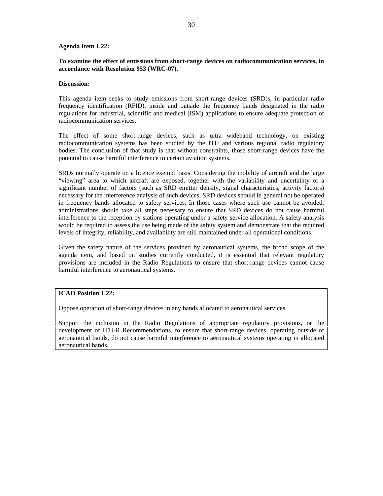### **Agenda Item 1.22:**

### **To examine the effect of emissions from short-range devices on radiocommunication services, in accordance with Resolution 953 (WRC-07).**

### **Discussion:**

This agenda item seeks to study emissions from short-range devices (SRD)s, in particular radio frequency identification (RFID), inside and outside the frequency bands designated in the radio regulations for industrial, scientific and medical (ISM) applications to ensure adequate protection of radiocommunication services.

The effect of some short-range devices, such as ultra wideband technology, on existing radiocommunication systems has been studied by the ITU and various regional radio regulatory bodies. The conclusion of that study is that without constraints, those short-range devices have the potential to cause harmful interference to certain aviation systems.

SRDs normally operate on a licence exempt basis. Considering the mobility of aircraft and the large "viewing" area to which aircraft are exposed, together with the variability and uncertainty of a significant number of factors (such as SRD emitter density, signal characteristics, activity factors) necessary for the interference analysis of such devices, SRD devices should in general not be operated in frequency bands allocated to safety services. In those cases where such use cannot be avoided, administrations should take all steps necessary to ensure that SRD devices do not cause harmful interference to the reception by stations operating under a safety service allocation. A safety analysis would be required to assess the use being made of the safety system and demonstrate that the required levels of integrity, reliability, and availability are still maintained under all operational conditions.

Given the safety nature of the services provided by aeronautical systems, the broad scope of the agenda item, and based on studies currently conducted, it is essential that relevant regulatory provisions are included in the Radio Regulations to ensure that short-range devices cannot cause harmful interference to aeronautical systems.

### **ICAO Position 1.22:**

Oppose operation of short-range devices in any bands allocated to aeronautical services.

Support the inclusion in the Radio Regulations of appropriate regulatory provisions, or the development of ITU-R Recommendations, to ensure that short-range devices, operating outside of aeronautical bands, do not cause harmful interference to aeronautical systems operating in allocated aeronautical bands.